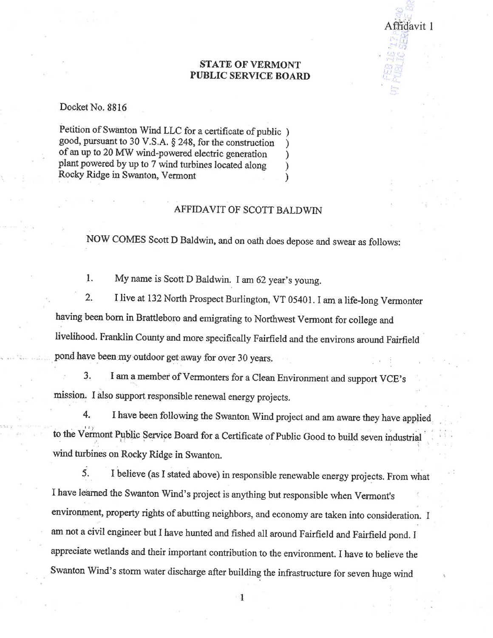## **STATE OF VERMONT** PUBLIC SERVICE BOARD

Affidavit 1

Docket No. 8816

Petition of Swanton Wind LLC for a certificate of public) good, pursuant to 30 V.S.A.  $\S$  248, for the construction of an up to 20 MW wind-powered electric generation plant powered by up to 7 wind turbines located along Rocky Ridge in Swanton, Vermont  $\lambda$ 

## AFFIDAVIT OF SCOTT BALDWIN

NOW COMES Scott D Baldwin, and on oath does depose and swear as follows:

1. My name is Scott D Baldwin. I am 62 year's young.

 $2.$ I live at 132 North Prospect Burlington, VT 05401. I am a life-long Vermonter having been born in Brattleboro and emigrating to Northwest Vermont for college and livelihood. Franklin County and more specifically Fairfield and the environs around Fairfield pond have been my outdoor get away for over 30 years.

I am a member of Vermonters for a Clean Environment and support VCE's 3. mission. I also support responsible renewal energy projects.

4. I have been following the Swanton Wind project and am aware they have applied to the Vermont Public Service Board for a Certificate of Public Good to build seven industrial wind turbines on Rocky Ridge in Swanton.

I believe (as I stated above) in responsible renewable energy projects. From what 5. I have learned the Swanton Wind's project is anything but responsible when Vermont's environment, property rights of abutting neighbors, and economy are taken into consideration. I am not a civil engineer but I have hunted and fished all around Fairfield and Fairfield pond. I appreciate wetlands and their important contribution to the environment. I have to believe the Swanton Wind's storm water discharge after building the infrastructure for seven huge wind

 $\mathbf{1}$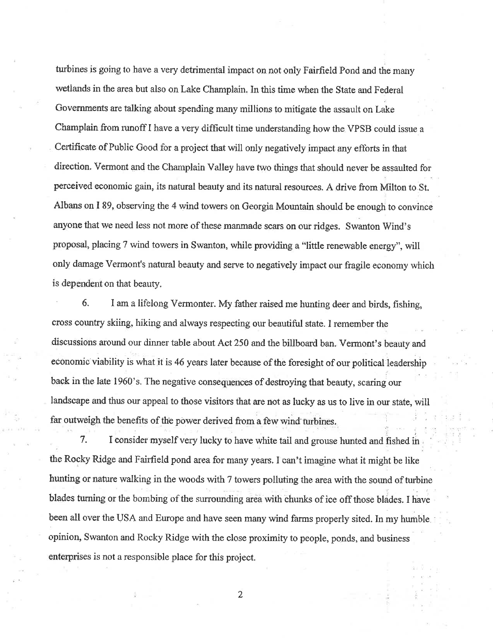turbines is going to have a very detrimental impact on not only Fairfield Pond and the many wetlands in the area but also on Lake Champlain. In this time when the State and Federal Governments are talking about spending many millions to mitigate the assault on Lake Champlain from runoff I have a very difficult time understanding how the VPSB could issue a Certificate of Public Good for a project that will only negatively impact any efforts in that direction. Vermont and the Champlain Valley have two things that should never be assaulted for perceived economic gain, its natural beauty and its natural resources. A drive from Milton to St. Albans on I 89, observing the 4 wind towers on Georgia Mountain should be enough to convince anyone that we need less not more of these manmade scars on our ridges. Swanton Wind's proposal, placing 7 wind towers in Swanton, while providing a "little renewable energy", will only damage Vermont's natural beauty and serve to negatively impact our fragile economy which is dependent on that beauty.

6. I am a lifelong Vermonter. My father raised me hunting deer and birds, fishing, cross country skiing, hiking and always respecting our beautiful state. I remember the discussions around our dinner table about Act 250 and the billboard ban. Vermont's beauty and economic viability is what it is 46 years later because of the foresight of our political leadership back in the late 1960's. The negative consequences of destroying that beauty, scaring our landscape and thus our appeal to those visitors that are not as lucky as us to live in our state, will far outweigh the benefits of the power derived from a few wind turbines.

 $7.$ I consider myself very lucky to have white tail and grouse hunted and fished in the Rocky Ridge and Fairfield pond area for many years. I can't imagine what it might be like hunting or nature walking in the woods with 7 towers polluting the area with the sound of turbine blades turning or the bombing of the surrounding area with chunks of ice off those blades. I have been all over the USA and Europe and have seen many wind farms properly sited. In my humble, opinion, Swanton and Rocky Ridge with the close proximity to people, ponds, and business enterprises is not a responsible place for this project.

 $\overline{2}$